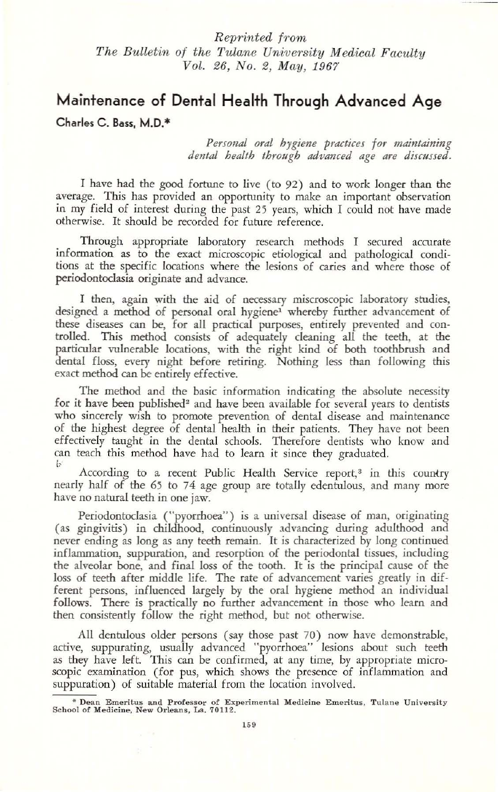## Reprinted from The Bulletin of the Tulane University Medical Faculty Vol. 26, No.2, May, 1967

# Maintenance of Dental Health Through Advanced Age

Charles C. Bass, M.D.\*

*Personal oral hygiene practices for maintaining dental health through advanced age are discussed*.

I have had the good fortune to live (to 92) and to work longer than the average. This has provided an opportunity to make an important observation in my field of interest during the past 25 years, which I could not have made otherwise. It should be recorded for future reference.

Through appropriate laboratory research methods I secured accurate infonnation as to the exact microscopic etiological and pathological conditions at the specific locations where the lesions of caries and where those of periodontoclasia originate and advance.

I then, again with the aid of necessary miscroscopic laboratory studies, designed a method of personal oral hygiene<sup>1</sup> whereby further advancement of these diseases can be. for all practical purposes. entirely prevented and controlled. This method consists of adequately cleaning all the teeth, at the particular vulnerable locations, with the right kind of both toothbrush and dental floss, every night before retiring. Nothing less than following this exact method can be entirely effective.

The method and the basic information indicating the absolute necessity for it have been published<sup>2</sup> and have been available for several years to dentists who sincerely wish to promote prevention of dental disease and maintenance of the highest degree of dental health in their patients. They have not been effectively taught in the dental schools. Therefore dentists who know and can teach this method have had to learn it since they graduated. h

According to a recent Public Health Service report,<sup>3</sup> in this country nearly half of the 65 to 74 age group are totally edentulous, and many more have no natural teeth in one jaw.

Periodontoclasia ("pyorrhoea") is a universal disease of man, originating (as gingivitis) in childhood, continuously advancing during adulthood and never ending as long as any teeth remain. It is characterized by long continued inflammation, suppuration, and resorption of the periodontal tissues, including the alveolar bone, and final loss of the tooth. It is the principal cause of the loss of teeth after middle life. The rate of advancement varies greatly in different persons, influenced largely by the oral hygiene method an individual follows. There is practically no further advancement in those who learn and then consistently follow the right method, but not otherwise.

All dentulous older persons (say those past *70)* now have demonstrable, active, suppurating. usually advanced "pyorrhoea" lesions about such teeth as they have left. This can be confirmed, at any time, by appropriate microscopic examination (for pus, which shows the presence of inflammation and suppuration) of suitable material from the location involved.

<sup>•</sup> Dean Emeritus and ProfeSsor of Experimental Medicine Emeritus, Tulane University School of Medicine, New Orleans, La. 70112.